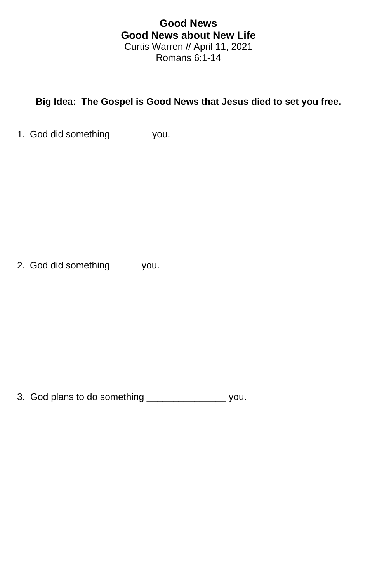## **Good News Good News about New Life** Curtis Warren // April 11, 2021 Romans 6:1-14

## **Big Idea: The Gospel is Good News that Jesus died to set you free.**

1. God did something \_\_\_\_\_\_\_ you.

2. God did something \_\_\_\_\_ you.

3. God plans to do something \_\_\_\_\_\_\_\_\_\_\_\_\_\_\_ you.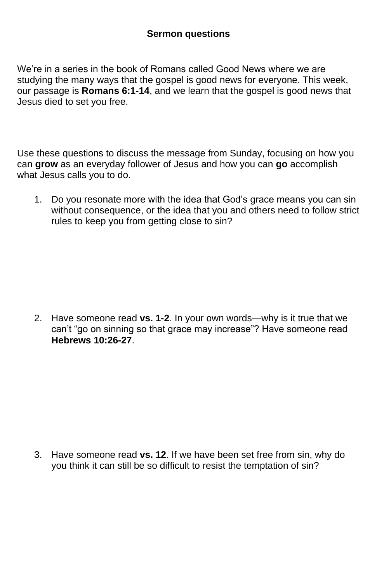## **Sermon questions**

We're in a series in the book of Romans called Good News where we are studying the many ways that the gospel is good news for everyone. This week, our passage is **Romans 6:1-14**, and we learn that the gospel is good news that Jesus died to set you free.

Use these questions to discuss the message from Sunday, focusing on how you can **grow** as an everyday follower of Jesus and how you can **go** accomplish what Jesus calls you to do.

1. Do you resonate more with the idea that God's grace means you can sin without consequence, or the idea that you and others need to follow strict rules to keep you from getting close to sin?

2. Have someone read **vs. 1-2**. In your own words—why is it true that we can't "go on sinning so that grace may increase"? Have someone read **Hebrews 10:26-27**.

3. Have someone read **vs. 12**. If we have been set free from sin, why do you think it can still be so difficult to resist the temptation of sin?